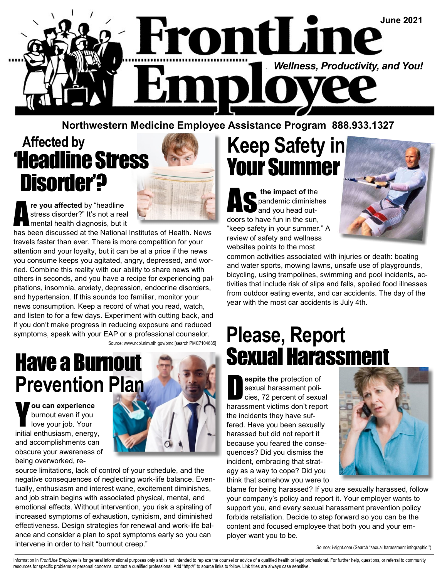

#### Northwestern Medicine Employee Assistance Program 888.933.1327

#### Affected by 'Headline Stress Disorder'?



re you affected by "headline stress disorder?" It's not a real mental health diagnosis, but it

has been discussed at the National Institutes of Health. News travels faster than ever. There is more competition for your attention and your loyalty, but it can be at a price if the news you consume keeps you agitated, angry, depressed, and worried. Combine this reality with our ability to share news with others in seconds, and you have a recipe for experiencing palpitations, insomnia, anxiety, depression, endocrine disorders, and hypertension. If this sounds too familiar, monitor your news consumption. Keep a record of what you read, watch, and listen to for a few days. Experiment with cutting back, and if you don't make progress in reducing exposure and reduced symptoms, speak with your EAP or a professional counselor. Source: www.ncbi.nlm.nih.gov/pmc [search PMC7104635]

# Prevention Plan

ou can experience burnout even if you love your job. Your initial enthusiasm, energy, and accomplishments can obscure your awareness of being overworked, re-



source limitations, lack of control of your schedule, and the negative consequences of neglecting work-life balance. Eventually, enthusiasm and interest wane, excitement diminishes, and job strain begins with associated physical, mental, and emotional effects. Without intervention, you risk a spiraling of increased symptoms of exhaustion, cynicism, and diminished effectiveness. Design strategies for renewal and work-life balance and consider a plan to spot symptoms early so you can intervene in order to halt "burnout creep."

# Keep Safety in Your Summer

the impact of the<br>pandemic diminished<br>and you head outpandemic diminishes and you head outdoors to have fun in the sun, "keep safety in your summer." A review of safety and wellness websites points to the most



common activities associated with injuries or death: boating and water sports, mowing lawns, unsafe use of playgrounds, bicycling, using trampolines, swimming and pool incidents, activities that include risk of slips and falls, spoiled food illnesses from outdoor eating events, and car accidents. The day of the year with the most car accidents is July 4th.

## Please, Report Have a Burnout Sexual Harassment

**Solution Sexual harassment policies**, 72 percent of sexual sexual harassment policies, 72 percent of sexual harassment victims don't report the incidents they have suffered. Have you been sexually harassed but did not report it because you feared the consequences? Did you dismiss the incident, embracing that strategy as a way to cope? Did you think that somehow you were to



blame for being harassed? If you are sexually harassed, follow your company's policy and report it. Your employer wants to support you, and every sexual harassment prevention policy forbids retaliation. Decide to step forward so you can be the content and focused employee that both you and your employer want you to be.

Source: i-sight.com (Search "sexual harassment infographic.")

Information in FrontLine Employee is for general informational purposes only and is not intended to replace the counsel or advice of a qualified health or legal professional. For further help, questions, or referral to com resources for specific problems or personal concerns, contact a qualified professional. Add "http://" to source links to follow. Link titles are always case sensitive.